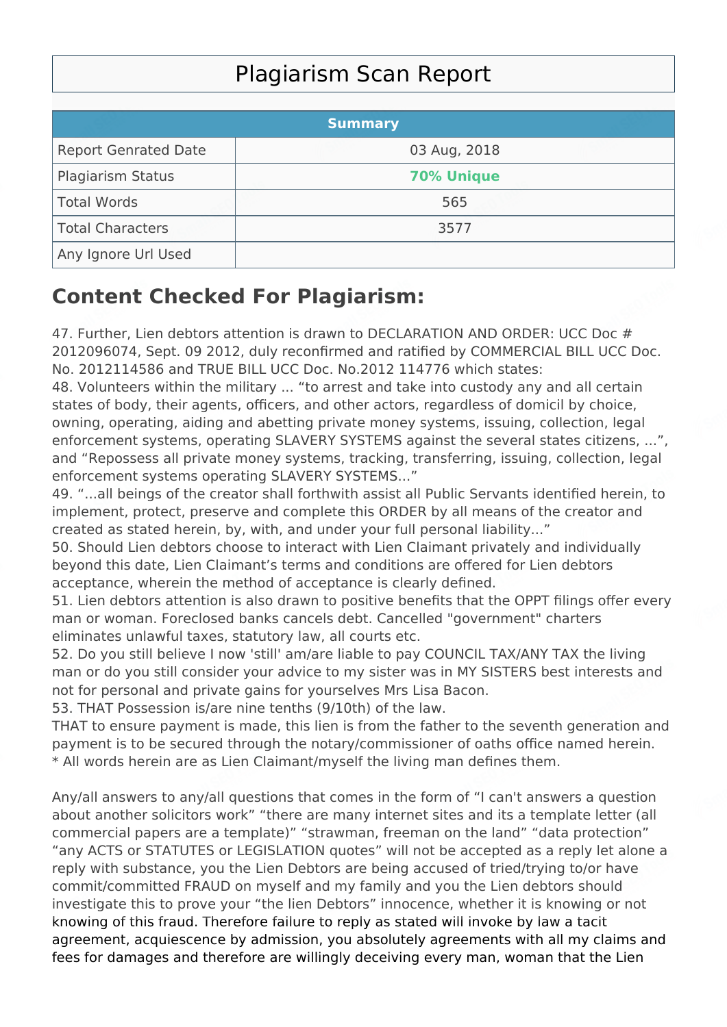## Plagiarism Scan Report

|                             | <b>Summary</b>    |  |
|-----------------------------|-------------------|--|
| <b>Report Genrated Date</b> | 03 Aug, 2018      |  |
| Plagiarism Status           | <b>70% Unique</b> |  |
| Total Words                 | 565               |  |
| Total Characters            | 3577              |  |
| Any Ignore Url Used         |                   |  |

## **Content Checked For Plagiarism:**

47. Further, Lien debtors attention is drawn to DECLARATION AND ORDER: UCC Doc # 2012096074, Sept. 09 2012, duly reconfirmed and ratified by COMMERCIAL BILL UCC Doc. No. 2012114586 and TRUE BILL UCC Doc. No.2012 114776 which states:

48. Volunteers within the military ... "to arrest and take into custody any and all certain states of body, their agents, officers, and other actors, regardless of domicil by choice, owning, operating, aiding and abetting private money systems, issuing, collection, legal enforcement systems, operating SLAVERY SYSTEMS against the several states citizens, ...", and "Repossess all private money systems, tracking, transferring, issuing, collection, legal enforcement systems operating SLAVERY SYSTEMS..."

49. "...all beings of the creator shall forthwith assist all Public Servants identified herein, to implement, protect, preserve and complete this ORDER by all means of the creator and created as stated herein, by, with, and under your full personal liability..."

50. Should Lien debtors choose to interact with Lien Claimant privately and individually beyond this date, Lien Claimant's terms and conditions are offered for Lien debtors acceptance, wherein the method of acceptance is clearly defined.

51. Lien debtors attention is also drawn to positive benefits that the OPPT filings offer every man or woman. Foreclosed banks cancels debt. Cancelled "government" charters eliminates unlawful taxes, statutory law, all courts etc.

52. Do you still believe I now 'still' am/are liable to pay COUNCIL TAX/ANY TAX the living man or do you still consider your advice to my sister was in MY SISTERS best interests and not for personal and private gains for yourselves Mrs Lisa Bacon.

53. THAT Possession is/are nine tenths (9/10th) of the law.

THAT to ensure payment is made, this lien is from the father to the seventh generation and payment is to be secured through the notary/commissioner of oaths office named herein. \* All words herein are as Lien Claimant/myself the living man defines them.

Any/all answers to any/all questions that comes in the form of "I can't answers a question about another solicitors work" "there are many internet sites and its a template letter (all commercial papers are a template)" "strawman, freeman on the land" "data protection" "any ACTS or STATUTES or LEGISLATION quotes" will not be accepted as a reply let alone a reply with substance, you the Lien Debtors are being accused of tried/trying to/or have commit/committed FRAUD on myself and my family and you the Lien debtors should investigate this to prove your "the lien Debtors" innocence, whether it is knowing or not knowing of this fraud. Therefore failure to reply as stated will invoke by law a tacit agreement, acquiescence by admission, you absolutely agreements with all my claims and fees for damages and therefore are willingly deceiving every man, woman that the Lien